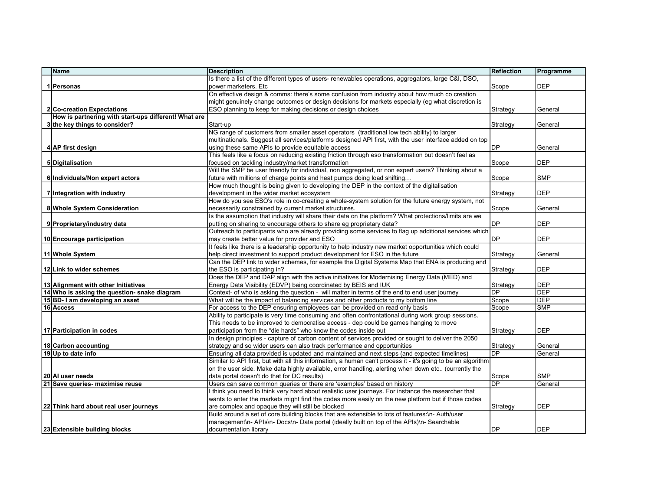| Name                                                 | <b>Description</b>                                                                                                                                 | Reflection               | Programme   |
|------------------------------------------------------|----------------------------------------------------------------------------------------------------------------------------------------------------|--------------------------|-------------|
|                                                      | Is there a list of the different types of users- renewables operations, aggregators, large C&I, DSO,                                               |                          |             |
| 1 Personas                                           | power marketers. Etc                                                                                                                               | Scope                    | <b>DEP</b>  |
|                                                      | On effective design & comms: there's some confusion from industry about how much co creation                                                       |                          |             |
|                                                      | might genuinely change outcomes or design decisions for markets especially (eg what discretion is                                                  |                          |             |
| <b>2 Co-creation Expectations</b>                    | ESO planning to keep for making decisions or design choices                                                                                        | Strategy                 | General     |
| How is partnering with start-ups different! What are |                                                                                                                                                    |                          |             |
| 3 the key things to consider?                        | Start-up                                                                                                                                           | Strategy                 | General     |
|                                                      | NG range of customers from smaller asset operators (traditional low tech ability) to larger                                                        |                          |             |
|                                                      | multinationals. Suggest all services/platforms designed API first, with the user interface added on top                                            |                          |             |
| 4 AP first design                                    | using these same APIs to provide equitable access                                                                                                  | DP                       | General     |
|                                                      | This feels like a focus on reducing existing friction through eso transformation but doesn't feel as                                               |                          |             |
| 5 Digitalisation                                     | focused on tackling industry/market transformation                                                                                                 | Scope                    | <b>DEP</b>  |
|                                                      | Will the SMP be user friendly for individual, non aggregated, or non expert users? Thinking about a                                                |                          |             |
| 6 Individuals/Non expert actors                      | future with millions of charge points and heat pumps doing load shifting                                                                           | Scope                    | <b>SMP</b>  |
|                                                      | How much thought is being given to developing the DEP in the context of the digitalisation                                                         |                          |             |
| 7 Integration with industry                          | development in the wider market ecosystem                                                                                                          | Strategy                 | <b>DEP</b>  |
|                                                      | How do you see ESO's role in co-creating a whole-system solution for the future energy system, not                                                 |                          |             |
| 8 Whole System Consideration                         | necessarily constrained by current market structures.                                                                                              | Scope                    | General     |
|                                                      | Is the assumption that industry will share their data on the platform? What protections/limits are we                                              |                          |             |
| 9 Proprietary/industry data                          | putting on sharing to encourage others to share eg proprietary data?                                                                               | DP                       | <b>DEP</b>  |
|                                                      | Outreach to participants who are already providing some services to flag up additional services which                                              |                          |             |
| 10 Encourage participation                           | may create better value for provider and ESO                                                                                                       | DP                       | <b>DEP</b>  |
|                                                      | It feels like there is a leadership opportunity to help industry new market opportunities which could                                              |                          |             |
| 11 Whole System                                      | help direct investment to support product development for ESO in the future                                                                        | Strategy                 | General     |
|                                                      | Can the DEP link to wider schemes, for example the Digital Systems Map that ENA is producing and                                                   |                          |             |
| 12 Link to wider schemes                             | the ESO is participating in?                                                                                                                       | Strategy                 | <b>DEP</b>  |
|                                                      | Does the DEP and DAP align with the active initiatives for Modernising Energy Data (MED) and                                                       |                          |             |
| 13 Alignment with other Initiatives                  | Energy Data Visibility (EDVP) being coordinated by BEIS and IUK                                                                                    | Strategy                 | <b>DEP</b>  |
| 14 Who is asking the question- snake diagram         | Context- of who is asking the question - will matter in terms of the end to end user journey                                                       | DP                       | <b>DEP</b>  |
| 15 BD-1 am developing an asset                       | What will be the impact of balancing services and other products to my bottom line                                                                 | Scope                    | <b>DEP</b>  |
| 16 Access                                            | For access to the DEP ensuring employees can be provided on read only basis                                                                        | Scope                    | <b>SMP</b>  |
|                                                      | Ability to participate is very time consuming and often confrontational during work group sessions.                                                |                          |             |
|                                                      | This needs to be improved to democratise access - dep could be games hanging to move                                                               |                          |             |
| 17 Participation in codes                            | participation from the "die hards" who know the codes inside out                                                                                   | Strategy                 | <b>DEP</b>  |
|                                                      | In design principles - capture of carbon content of services provided or sought to deliver the 2050                                                |                          |             |
| 18 Carbon accounting                                 | strategy and so wider users can also track performance and opportunities                                                                           | Strategy<br>DP           | General     |
| 19 Up to date info                                   | Ensuring all data provided is updated and maintained and next steps (and expected timelines)                                                       |                          | General     |
|                                                      | Similar to API first, but with all this information, a human can't process it - it's going to be an algorithm                                      |                          |             |
|                                                      | on the user side. Make data highly available, error handling, alerting when down etc (currently the<br>data portal doesn't do that for DC results) |                          | <b>SMP</b>  |
| 20 Al user needs<br>21 Save queries- maximise reuse  | Users can save common queries or there are 'examples' based on history                                                                             | Scope<br>$\overline{DP}$ | General     |
|                                                      | I think you need to think very hard about realistic user journeys. For instance the researcher that                                                |                          |             |
|                                                      | wants to enter the markets might find the codes more easily on the new platform but if those codes                                                 |                          |             |
| 22 Think hard about real user journeys               | are complex and opaque they will still be blocked                                                                                                  | Strategy                 | <b>DEP</b>  |
|                                                      | Build around a set of core building blocks that are extensible to lots of features:\n- Auth/user                                                   |                          |             |
|                                                      | management\n-APIs\n-Docs\n-Data portal (ideally built on top of the APIs)\n-Searchable                                                             |                          |             |
| 23 Extensible building blocks                        | documentation library                                                                                                                              | <b>DP</b>                | <b>IDEP</b> |
|                                                      |                                                                                                                                                    |                          |             |